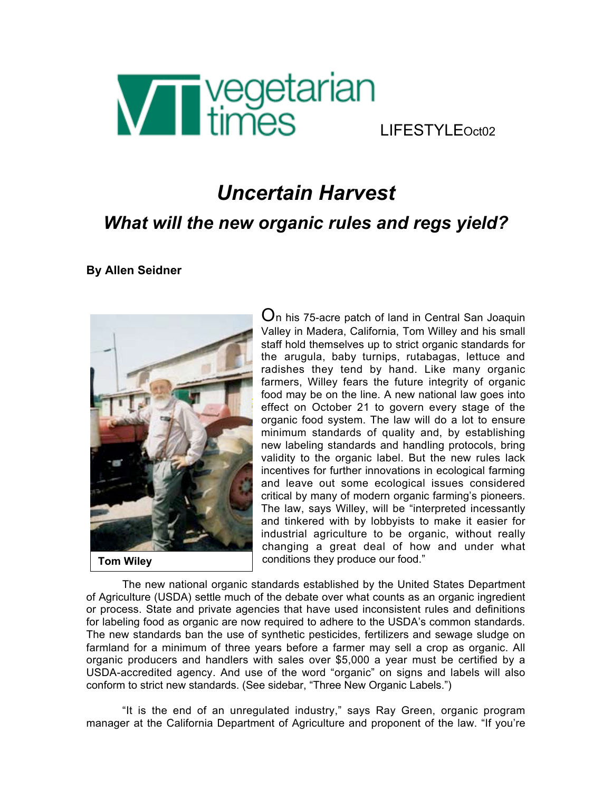

## LIFESTYLEOct02

# *Uncertain Harvest What will the new organic rules and regs yield?*

**By Allen Seidner**



 $O$ n his 75-acre patch of land in Central San Joaquin Valley in Madera, California, Tom Willey and his small staff hold themselves up to strict organic standards for the arugula, baby turnips, rutabagas, lettuce and radishes they tend by hand. Like many organic farmers, Willey fears the future integrity of organic food may be on the line. A new national law goes into effect on October 21 to govern every stage of the organic food system. The law will do a lot to ensure minimum standards of quality and, by establishing new labeling standards and handling protocols, bring validity to the organic label. But the new rules lack incentives for further innovations in ecological farming and leave out some ecological issues considered critical by many of modern organic farming's pioneers. The law, says Willey, will be "interpreted incessantly and tinkered with by lobbyists to make it easier for industrial agriculture to be organic, without really changing a great deal of how and under what conditions they produce our food."

The new national organic standards established by the United States Department of Agriculture (USDA) settle much of the debate over what counts as an organic ingredient or process. State and private agencies that have used inconsistent rules and definitions for labeling food as organic are now required to adhere to the USDA's common standards. The new standards ban the use of synthetic pesticides, fertilizers and sewage sludge on farmland for a minimum of three years before a farmer may sell a crop as organic. All organic producers and handlers with sales over \$5,000 a year must be certified by a USDA-accredited agency. And use of the word "organic" on signs and labels will also conform to strict new standards. (See sidebar, "Three New Organic Labels.")

"It is the end of an unregulated industry," says Ray Green, organic program manager at the California Department of Agriculture and proponent of the law. "If you're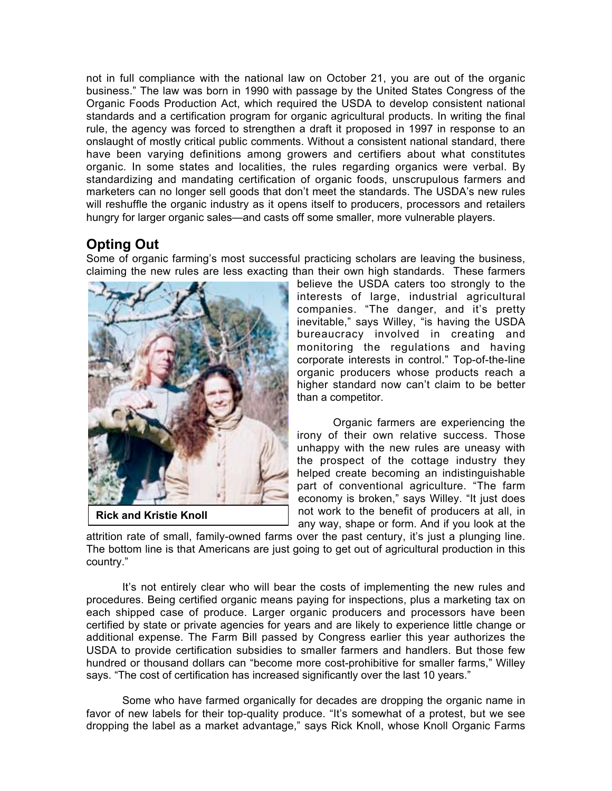not in full compliance with the national law on October 21, you are out of the organic business." The law was born in 1990 with passage by the United States Congress of the Organic Foods Production Act, which required the USDA to develop consistent national standards and a certification program for organic agricultural products. In writing the final rule, the agency was forced to strengthen a draft it proposed in 1997 in response to an onslaught of mostly critical public comments. Without a consistent national standard, there have been varying definitions among growers and certifiers about what constitutes organic. In some states and localities, the rules regarding organics were verbal. By standardizing and mandating certification of organic foods, unscrupulous farmers and marketers can no longer sell goods that don't meet the standards. The USDA's new rules will reshuffle the organic industry as it opens itself to producers, processors and retailers hungry for larger organic sales—and casts off some smaller, more vulnerable players.

### **Opting Out**

Some of organic farming's most successful practicing scholars are leaving the business, claiming the new rules are less exacting than their own high standards. These farmers



**Rick and Kristie Knoll**

believe the USDA caters too strongly to the interests of large, industrial agricultural companies. "The danger, and it's pretty inevitable," says Willey, "is having the USDA bureaucracy involved in creating and monitoring the regulations and having corporate interests in control." Top-of-the-line organic producers whose products reach a higher standard now can't claim to be better than a competitor.

Organic farmers are experiencing the irony of their own relative success. Those unhappy with the new rules are uneasy with the prospect of the cottage industry they helped create becoming an indistinguishable part of conventional agriculture. "The farm economy is broken," says Willey. "It just does not work to the benefit of producers at all, in any way, shape or form. And if you look at the

attrition rate of small, family-owned farms over the past century, it's just a plunging line. The bottom line is that Americans are just going to get out of agricultural production in this country."

It's not entirely clear who will bear the costs of implementing the new rules and procedures. Being certified organic means paying for inspections, plus a marketing tax on each shipped case of produce. Larger organic producers and processors have been certified by state or private agencies for years and are likely to experience little change or additional expense. The Farm Bill passed by Congress earlier this year authorizes the USDA to provide certification subsidies to smaller farmers and handlers. But those few hundred or thousand dollars can "become more cost-prohibitive for smaller farms," Willey says. "The cost of certification has increased significantly over the last 10 years."

Some who have farmed organically for decades are dropping the organic name in favor of new labels for their top-quality produce. "It's somewhat of a protest, but we see dropping the label as a market advantage," says Rick Knoll, whose Knoll Organic Farms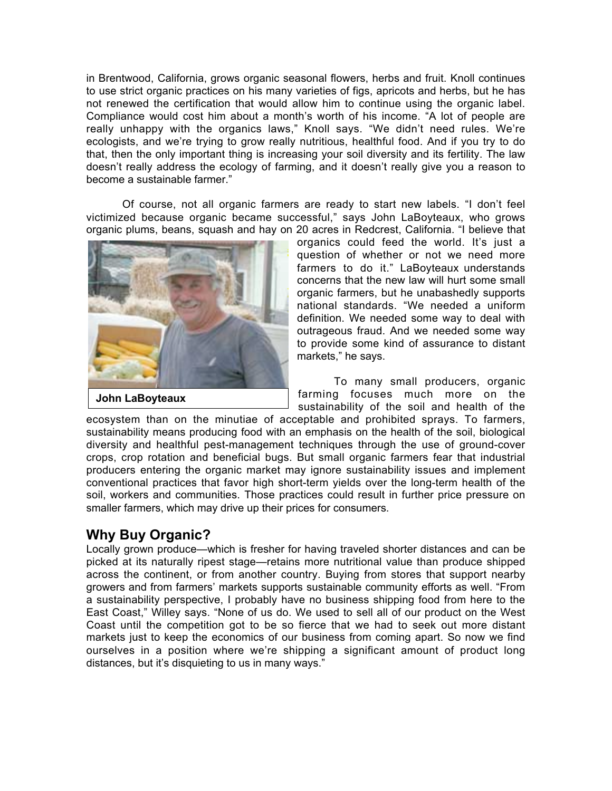in Brentwood, California, grows organic seasonal flowers, herbs and fruit. Knoll continues to use strict organic practices on his many varieties of figs, apricots and herbs, but he has not renewed the certification that would allow him to continue using the organic label. Compliance would cost him about a month's worth of his income. "A lot of people are really unhappy with the organics laws," Knoll says. "We didn't need rules. We're ecologists, and we're trying to grow really nutritious, healthful food. And if you try to do that, then the only important thing is increasing your soil diversity and its fertility. The law doesn't really address the ecology of farming, and it doesn't really give you a reason to become a sustainable farmer."

Of course, not all organic farmers are ready to start new labels. "I don't feel victimized because organic became successful," says John LaBoyteaux, who grows organic plums, beans, squash and hay on 20 acres in Redcrest, California. "I believe that



organics could feed the world. It's just a question of whether or not we need more farmers to do it." LaBoyteaux understands concerns that the new law will hurt some small organic farmers, but he unabashedly supports national standards. "We needed a uniform definition. We needed some way to deal with outrageous fraud. And we needed some way to provide some kind of assurance to distant markets," he says.

To many small producers, organic farming focuses much more on the sustainability of the soil and health of the

ecosystem than on the minutiae of acceptable and prohibited sprays. To farmers, sustainability means producing food with an emphasis on the health of the soil, biological diversity and healthful pest-management techniques through the use of ground-cover crops, crop rotation and beneficial bugs. But small organic farmers fear that industrial producers entering the organic market may ignore sustainability issues and implement conventional practices that favor high short-term yields over the long-term health of the soil, workers and communities. Those practices could result in further price pressure on smaller farmers, which may drive up their prices for consumers.

#### **Why Buy Organic?**

Locally grown produce—which is fresher for having traveled shorter distances and can be picked at its naturally ripest stage—retains more nutritional value than produce shipped across the continent, or from another country. Buying from stores that support nearby growers and from farmers' markets supports sustainable community efforts as well. "From a sustainability perspective, I probably have no business shipping food from here to the East Coast," Willey says. "None of us do. We used to sell all of our product on the West Coast until the competition got to be so fierce that we had to seek out more distant markets just to keep the economics of our business from coming apart. So now we find ourselves in a position where we're shipping a significant amount of product long distances, but it's disquieting to us in many ways."